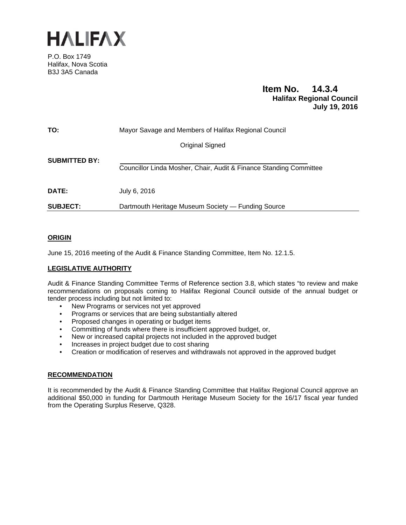

P.O. Box 1749 Halifax, Nova Scotia B3J 3A5 Canada

## **Item No. 14.3.4 Halifax Regional Council July 19, 2016**

| TO:                  | Mayor Savage and Members of Halifax Regional Council               |
|----------------------|--------------------------------------------------------------------|
|                      | Original Signed                                                    |
| <b>SUBMITTED BY:</b> | Councillor Linda Mosher, Chair, Audit & Finance Standing Committee |
| <b>DATE:</b>         | July 6, 2016                                                       |
| <b>SUBJECT:</b>      | Dartmouth Heritage Museum Society — Funding Source                 |

## **ORIGIN**

June 15, 2016 meeting of the Audit & Finance Standing Committee, Item No. 12.1.5.

## **LEGISLATIVE AUTHORITY**

Audit & Finance Standing Committee Terms of Reference section 3.8, which states "to review and make recommendations on proposals coming to Halifax Regional Council outside of the annual budget or tender process including but not limited to:

- New Programs or services not yet approved
- Programs or services that are being substantially altered
- Proposed changes in operating or budget items
- Committing of funds where there is insufficient approved budget, or,
- New or increased capital projects not included in the approved budget
- Increases in project budget due to cost sharing
- Creation or modification of reserves and withdrawals not approved in the approved budget

## **RECOMMENDATION**

It is recommended by the Audit & Finance Standing Committee that Halifax Regional Council approve an additional \$50,000 in funding for Dartmouth Heritage Museum Society for the 16/17 fiscal year funded from the Operating Surplus Reserve, Q328.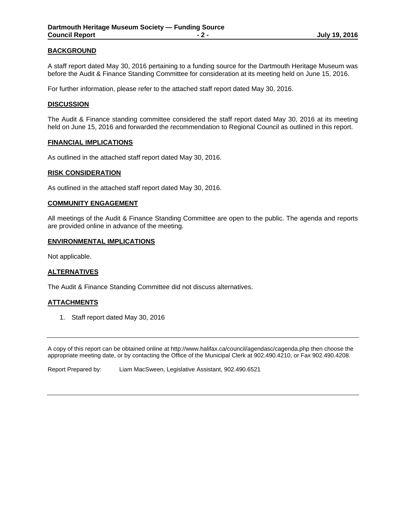## **BACKGROUND**

A staff report dated May 30, 2016 pertaining to a funding source for the Dartmouth Heritage Museum was before the Audit & Finance Standing Committee for consideration at its meeting held on June 15, 2016.

For further information, please refer to the attached staff report dated May 30, 2016.

## **DISCUSSION**

The Audit & Finance standing committee considered the staff report dated May 30, 2016 at its meeting held on June 15, 2016 and forwarded the recommendation to Regional Council as outlined in this report.

#### **FINANCIAL IMPLICATIONS**

As outlined in the attached staff report dated May 30, 2016.

## **RISK CONSIDERATION**

As outlined in the attached staff report dated May 30, 2016.

#### **COMMUNITY ENGAGEMENT**

All meetings of the Audit & Finance Standing Committee are open to the public. The agenda and reports are provided online in advance of the meeting.

#### **ENVIRONMENTAL IMPLICATIONS**

Not applicable.

#### **ALTERNATIVES**

The Audit & Finance Standing Committee did not discuss alternatives.

## **ATTACHMENTS**

1. Staff report dated May 30, 2016

A copy of this report can be obtained online at http://www.halifax.ca/council/agendasc/cagenda.php then choose the appropriate meeting date, or by contacting the Office of the Municipal Clerk at 902.490.4210, or Fax 902.490.4208.

Report Prepared by: Liam MacSween, Legislative Assistant, 902.490.6521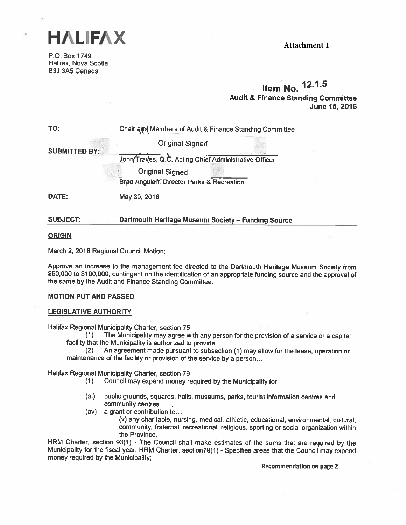

P.O. Box 1749 Halifax, Nova Scotia B3J 3A5 Canada

**Attachment 1**

# Item No. 12.1.5 Audit & Finance Standing Committee June 15, 2016

| TO:                  | Chair and Members of Audit & Finance Standing Committee             |  |  |
|----------------------|---------------------------------------------------------------------|--|--|
|                      | <b>Original Signed</b>                                              |  |  |
| <b>SUBMITTED BY:</b> | John Traves, Q.C. Acting Chief Administrative Officer               |  |  |
|                      | <b>Original Signed</b><br>Brad Anguish, Director Parks & Recreation |  |  |
| DATE:                | May 30, 2016                                                        |  |  |
| <b>SUBJECT:</b>      | Dartmouth Heritage Museum Society - Funding Source                  |  |  |

## ORIGIN

March 2, 2016 Regional Council Motion:

Approve an increase to the management fee directed to the Dartmouth Heritage Museum Society from \$50,000 to \$100,000, contingent on the identification of an appropriate funding source and the approva<sup>l</sup> of the same by the Audit and Finance Standing Committee.

## MOTION PUT AND PASSED

## LEGISLATIVE AUTHORITY

Halifax Regional Municipality Charter, section 75

(1) The Municipality may agree with any person for the provision of <sup>a</sup> service or <sup>a</sup> capital facility that the Municipality is authorized to provide.

(2) An agreement made pursuant to subsection (1) may allow for the lease, operation or maintenance of the facility or provision of the service by <sup>a</sup> person...

Halifax Regional Municipality Charter, section 79

- (1) Council may expend money required by the Municipality for
- (ai) public grounds, squares, halls, museums, parks, tourist information centres and community centres ...
- (av) <sup>a</sup> grant or contribution to..

(v) any charitable, nursing, medical, athletic, educational, environmental, cultural, community, fraternal, recreational, religious, sporting or social organization within the Province.

HRM Charter, section 93(1) - The Council shall make estimates of the sums that are required by the Municipality for the fiscal year; HRM Charter, section79(1) - Specifies areas that the Council may expend money required by the Municipality;

Recommendation on page <sup>2</sup>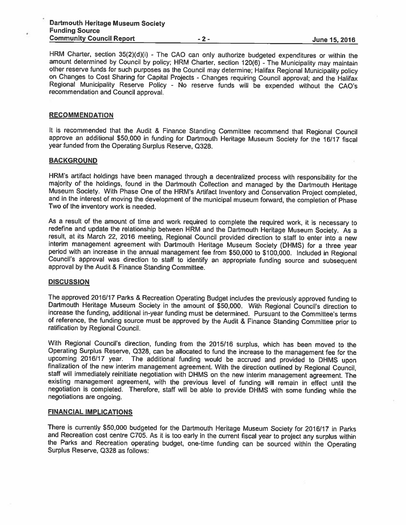HRM Charter, section 35(2)(d)(i) - The CAO can only authorize budgeted expenditures or within the amount determined by Council by policy; HRM Charter, section 120(6) - The Municipality may maintain other reserve funds for such purposes as the Council may determine; Halifax Regional Municipality policy on Changes to Cost Sharing for Capital Projects - Changes requiring Council approval; and the Halifax Regional Municipality Reserve Policy - No reserve funds will be expended without the CAO's recommendation and Council approval.

#### **RECOMMENDATION**

It is recommended that the Audit & Finance Standing Committee recommend that Regional Council approve an additional \$50,000 in funding for Dartmouth Heritage Museum Society for the 16/17 fiscal year funded from the Operating Surplus Reserve, 0328.

#### **BACKGROUND**

HRM's artifact holdings have been managed through a decentralized process with responsibility for the majority of the holdings, found in the Dartmouth Collection and managed by the Dartmouth Heritage Museum Society. With P

As a result of the amount of time and work required to complete the required work, it is necessary to redefine and update the relationship between HRM and the Dartmouth Heritage Museum Society. As a result, at its March 22 interim management agreement with Dartmouth Heritage Museum Society (DHMS) for a three year<br>period with an increase in the annual management fee from \$50,000 to \$100,000. Included in Regional Council's approval was direction to staff to identify an appropriate funding source and subsequent<br>approval by the Audit & Finance Standing Committee.

#### **DISCUSSION**

The approved 2016/17 Parks & Recreation Operating Budget includes the previously approved funding to Dartmouth Heritage Museum Society in the amount of \$50,000. With Regional Council's direction to increase the funding, ad of reference, the funding source must be approved by the Audit & Finance Standing Committee prior to ratification by Regional Council.

With Regional Council's direction, funding from the 2015/16 surplus, which has been moved to the<br>Operating Surplus Reserve, Q328, can be allocated to fund the increase to the management fee for the upcoming 2016/17 year. The additional funding would be accrued and provided to DHMS upon finalization of the new interim management agreement. With the direction outlined by Regional Council, staff will immediately reiniti

## FINANCIAL IMPLICATIONS

There is currently \$50,000 budgeted for the Dartmouth Heritage Museum Society for 2016/17 in Parks and Recreation cost centre C705. As it is too early in the current fiscal year to project any surplus within the Parks and